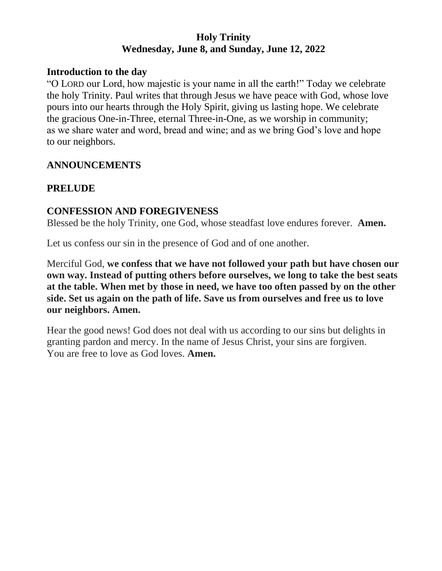#### **Holy Trinity Wednesday, June 8, and Sunday, June 12, 2022**

#### **Introduction to the day**

"O LORD our Lord, how majestic is your name in all the earth!" Today we celebrate the holy Trinity. Paul writes that through Jesus we have peace with God, whose love pours into our hearts through the Holy Spirit, giving us lasting hope. We celebrate the gracious One-in-Three, eternal Three-in-One, as we worship in community; as we share water and word, bread and wine; and as we bring God's love and hope to our neighbors.

#### **ANNOUNCEMENTS**

## **PRELUDE**

#### **CONFESSION AND FOREGIVENESS**

Blessed be the holy Trinity, one God, whose steadfast love endures forever. **Amen.**

Let us confess our sin in the presence of God and of one another.

Merciful God, **we confess that we have not followed your path but have chosen our own way. Instead of putting others before ourselves, we long to take the best seats at the table. When met by those in need, we have too often passed by on the other side. Set us again on the path of life. Save us from ourselves and free us to love our neighbors. Amen.**

Hear the good news! God does not deal with us according to our sins but delights in granting pardon and mercy. In the name of Jesus Christ, your sins are forgiven. You are free to love as God loves. **Amen.**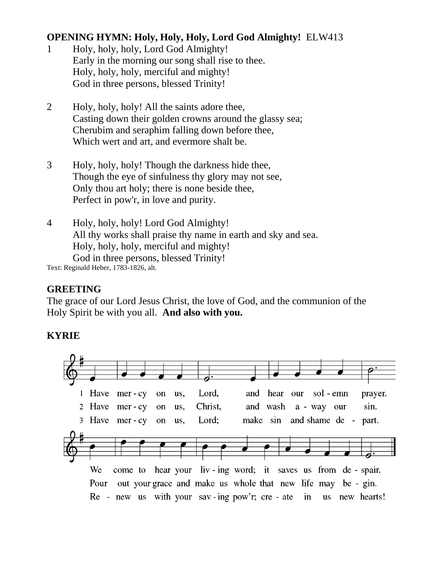# **OPENING HYMN: Holy, Holy, Holy, Lord God Almighty!** ELW413

- 1 Holy, holy, holy, Lord God Almighty! Early in the morning our song shall rise to thee. Holy, holy, holy, merciful and mighty! God in three persons, blessed Trinity!
- 2 Holy, holy, holy! All the saints adore thee, Casting down their golden crowns around the glassy sea; Cherubim and seraphim falling down before thee, Which wert and art, and evermore shalt be.
- 3 Holy, holy, holy! Though the darkness hide thee, Though the eye of sinfulness thy glory may not see, Only thou art holy; there is none beside thee, Perfect in pow'r, in love and purity.
- 4 Holy, holy, holy! Lord God Almighty! All thy works shall praise thy name in earth and sky and sea. Holy, holy, holy, merciful and mighty! God in three persons, blessed Trinity!

Text: Reginald Heber, 1783-1826, alt.

## **GREETING**

The grace of our Lord Jesus Christ, the love of God, and the communion of the Holy Spirit be with you all. **And also with you.**

## **KYRIE**

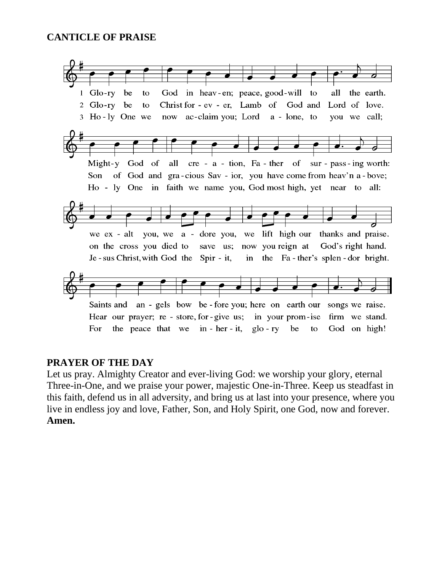#### **CANTICLE OF PRAISE**



#### **PRAYER OF THE DAY**

Let us pray. Almighty Creator and ever-living God: we worship your glory, eternal Three-in-One, and we praise your power, majestic One-in-Three. Keep us steadfast in this faith, defend us in all adversity, and bring us at last into your presence, where you live in endless joy and love, Father, Son, and Holy Spirit, one God, now and forever. **Amen.**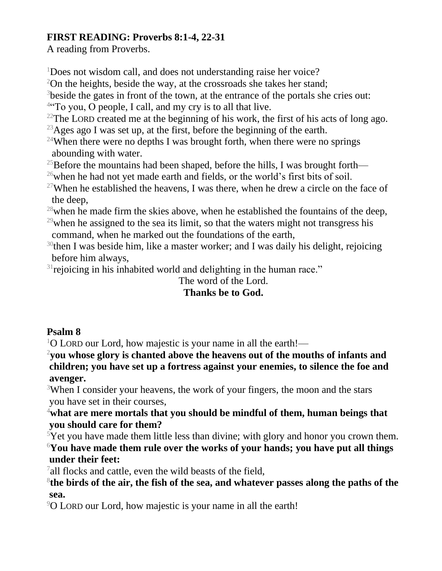# **FIRST READING: Proverbs 8:1-4, 22-31**

A reading from Proverbs.

<sup>1</sup>Does not wisdom call, and does not understanding raise her voice?

 $2$ On the heights, beside the way, at the crossroads she takes her stand;

<sup>3</sup>beside the gates in front of the town, at the entrance of the portals she cries out:

<sup>4"</sup>To you, O people, I call, and my cry is to all that live.

 $22$ The LORD created me at the beginning of his work, the first of his acts of long ago.

<sup>23</sup>Ages ago I was set up, at the first, before the beginning of the earth.

 $24$ When there were no depths I was brought forth, when there were no springs abounding with water.

<sup>25</sup>Before the mountains had been shaped, before the hills, I was brought forth—

 $^{26}$ when he had not yet made earth and fields, or the world's first bits of soil.

<sup>27</sup>When he established the heavens, I was there, when he drew a circle on the face of the deep,

 $28$  when he made firm the skies above, when he established the fountains of the deep,  $^{29}$  when he assigned to the sea its limit, so that the waters might not transgress his command, when he marked out the foundations of the earth,

 $30$ then I was beside him, like a master worker; and I was daily his delight, rejoicing before him always,

 $31$  rejoicing in his inhabited world and delighting in the human race."

# The word of the Lord.

# **Thanks be to God.**

# **Psalm 8**

 $1$ O LORD our Lord, how majestic is your name in all the earth!—

<sup>2</sup>**you whose glory is chanted above the heavens out of the mouths of infants and children; you have set up a fortress against your enemies, to silence the foe and avenger.**

<sup>3</sup>When I consider your heavens, the work of your fingers, the moon and the stars you have set in their courses,

<sup>4</sup>**what are mere mortals that you should be mindful of them, human beings that you should care for them?**

 $5$ Yet you have made them little less than divine; with glory and honor you crown them. <sup>6</sup>**You have made them rule over the works of your hands; you have put all things under their feet:**

<sup>7</sup> all flocks and cattle, even the wild beasts of the field,

8 **the birds of the air, the fish of the sea, and whatever passes along the paths of the sea.**

<sup>9</sup>O LORD our Lord, how majestic is your name in all the earth!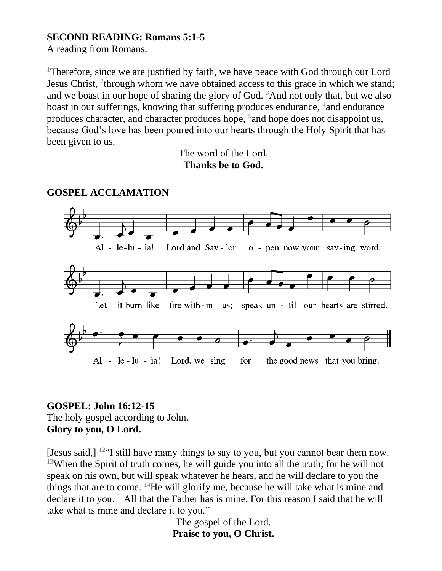### **SECOND READING: Romans 5:1-5**

A reading from Romans.

<sup>1</sup>Therefore, since we are justified by faith, we have peace with God through our Lord Jesus Christ, <sup>2</sup>through whom we have obtained access to this grace in which we stand; and we boast in our hope of sharing the glory of God.  $3$ And not only that, but we also boast in our sufferings, knowing that suffering produces endurance, <sup>4</sup> and endurance produces character, and character produces hope, <sup>5</sup> and hope does not disappoint us, because God's love has been poured into our hearts through the Holy Spirit that has been given to us.

> The word of the Lord. **Thanks be to God.**



## **GOSPEL ACCLAMATION**

#### **GOSPEL: John 16:12-15** The holy gospel according to John. **Glory to you, O Lord.**

[Jesus said,]  $12 \cdot$  [I still have many things to say to you, but you cannot bear them now.  $13$ When the Spirit of truth comes, he will guide you into all the truth; for he will not speak on his own, but will speak whatever he hears, and he will declare to you the things that are to come.  $^{14}$ He will glorify me, because he will take what is mine and declare it to you. <sup>15</sup>All that the Father has is mine. For this reason I said that he will take what is mine and declare it to you."

> The gospel of the Lord. **Praise to you, O Christ.**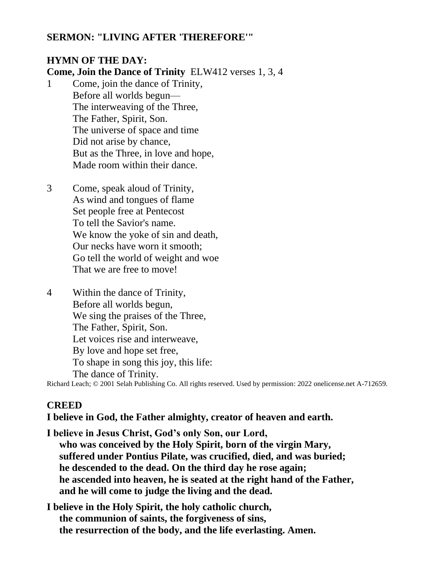#### **SERMON: "LIVING AFTER 'THEREFORE'"**

## **HYMN OF THE DAY:**

**Come, Join the Dance of Trinity** ELW412 verses 1, 3, 4

- 1 Come, join the dance of Trinity, Before all worlds begun— The interweaving of the Three, The Father, Spirit, Son. The universe of space and time Did not arise by chance, But as the Three, in love and hope, Made room within their dance.
- 3 Come, speak aloud of Trinity, As wind and tongues of flame Set people free at Pentecost To tell the Savior's name. We know the yoke of sin and death, Our necks have worn it smooth; Go tell the world of weight and woe That we are free to move!
- 4 Within the dance of Trinity, Before all worlds begun, We sing the praises of the Three, The Father, Spirit, Son. Let voices rise and interweave, By love and hope set free, To shape in song this joy, this life: The dance of Trinity.

Richard Leach; © 2001 Selah Publishing Co. All rights reserved. Used by permission: 2022 onelicense.net A-712659.

## **CREED**

#### **I believe in God, the Father almighty, creator of heaven and earth.**

**I believe in Jesus Christ, God's only Son, our Lord, who was conceived by the Holy Spirit, born of the virgin Mary, suffered under Pontius Pilate, was crucified, died, and was buried; he descended to the dead. On the third day he rose again; he ascended into heaven, he is seated at the right hand of the Father, and he will come to judge the living and the dead.**

**I believe in the Holy Spirit, the holy catholic church, the communion of saints, the forgiveness of sins, the resurrection of the body, and the life everlasting. Amen.**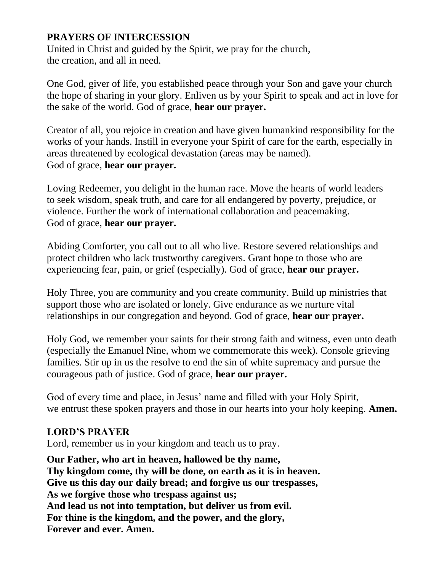## **PRAYERS OF INTERCESSION**

United in Christ and guided by the Spirit, we pray for the church, the creation, and all in need.

One God, giver of life, you established peace through your Son and gave your church the hope of sharing in your glory. Enliven us by your Spirit to speak and act in love for the sake of the world. God of grace, **hear our prayer.**

Creator of all, you rejoice in creation and have given humankind responsibility for the works of your hands. Instill in everyone your Spirit of care for the earth, especially in areas threatened by ecological devastation (areas may be named). God of grace, **hear our prayer.**

Loving Redeemer, you delight in the human race. Move the hearts of world leaders to seek wisdom, speak truth, and care for all endangered by poverty, prejudice, or violence. Further the work of international collaboration and peacemaking. God of grace, **hear our prayer.**

Abiding Comforter, you call out to all who live. Restore severed relationships and protect children who lack trustworthy caregivers. Grant hope to those who are experiencing fear, pain, or grief (especially). God of grace, **hear our prayer.**

Holy Three, you are community and you create community. Build up ministries that support those who are isolated or lonely. Give endurance as we nurture vital relationships in our congregation and beyond. God of grace, **hear our prayer.**

Holy God, we remember your saints for their strong faith and witness, even unto death (especially the Emanuel Nine, whom we commemorate this week). Console grieving families. Stir up in us the resolve to end the sin of white supremacy and pursue the courageous path of justice. God of grace, **hear our prayer.**

God of every time and place, in Jesus' name and filled with your Holy Spirit, we entrust these spoken prayers and those in our hearts into your holy keeping. **Amen.**

## **LORD'S PRAYER**

Lord, remember us in your kingdom and teach us to pray.

**Our Father, who art in heaven, hallowed be thy name, Thy kingdom come, thy will be done, on earth as it is in heaven. Give us this day our daily bread; and forgive us our trespasses, As we forgive those who trespass against us; And lead us not into temptation, but deliver us from evil. For thine is the kingdom, and the power, and the glory, Forever and ever. Amen.**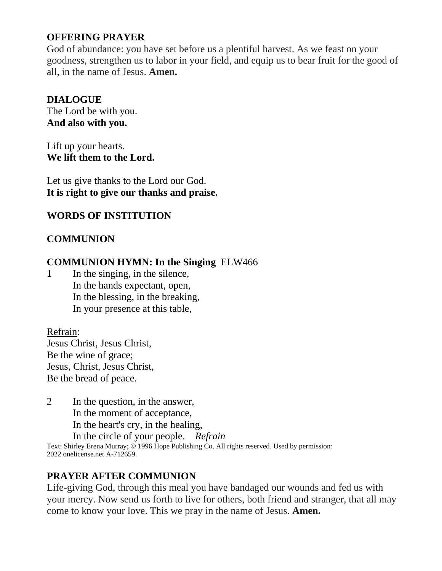# **OFFERING PRAYER**

God of abundance: you have set before us a plentiful harvest. As we feast on your goodness, strengthen us to labor in your field, and equip us to bear fruit for the good of all, in the name of Jesus. **Amen.**

### **DIALOGUE**

The Lord be with you. **And also with you.**

Lift up your hearts. **We lift them to the Lord.**

Let us give thanks to the Lord our God. **It is right to give our thanks and praise.**

## **WORDS OF INSTITUTION**

## **COMMUNION**

#### **COMMUNION HYMN: In the Singing** ELW466

1 In the singing, in the silence, In the hands expectant, open, In the blessing, in the breaking, In your presence at this table,

Refrain: Jesus Christ, Jesus Christ, Be the wine of grace; Jesus, Christ, Jesus Christ, Be the bread of peace.

2 In the question, in the answer, In the moment of acceptance, In the heart's cry, in the healing, In the circle of your people. *Refrain*

Text: Shirley Erena Murray; © 1996 Hope Publishing Co. All rights reserved. Used by permission: 2022 onelicense.net A-712659.

## **PRAYER AFTER COMMUNION**

Life-giving God, through this meal you have bandaged our wounds and fed us with your mercy. Now send us forth to live for others, both friend and stranger, that all may come to know your love. This we pray in the name of Jesus. **Amen.**